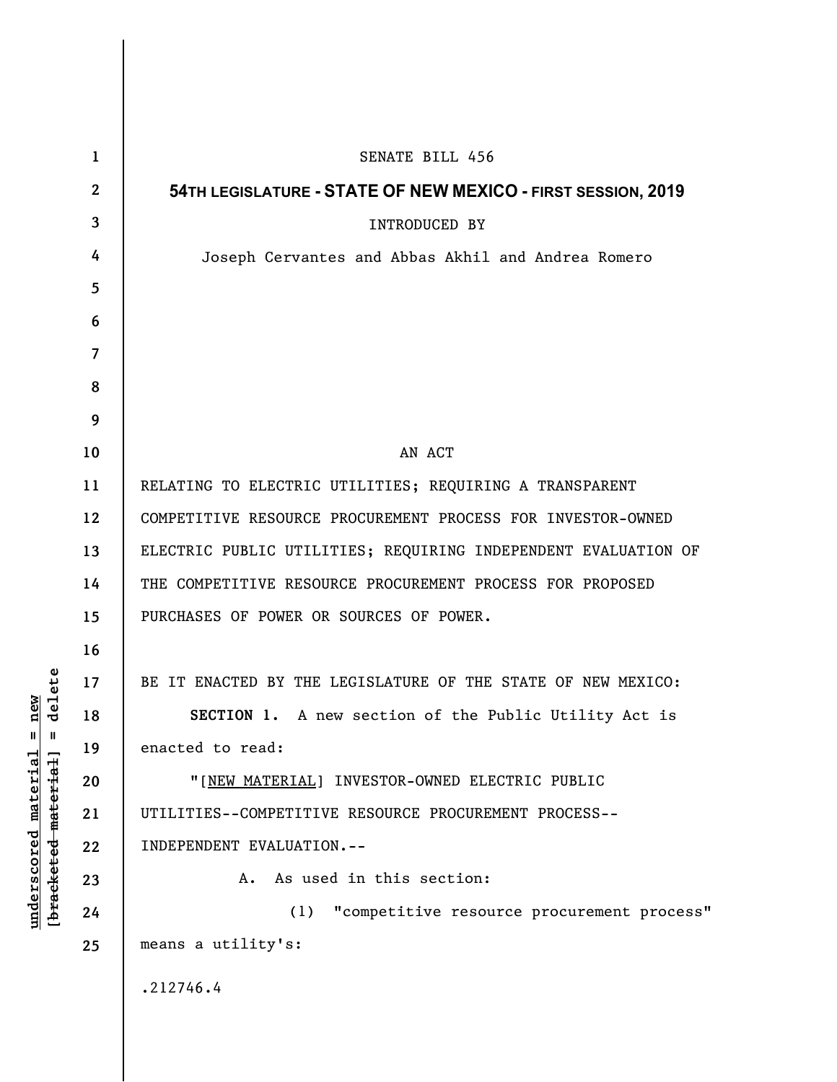| $\mathbf{1}$     | SENATE BILL 456                                                |
|------------------|----------------------------------------------------------------|
| $\boldsymbol{2}$ | 54TH LEGISLATURE - STATE OF NEW MEXICO - FIRST SESSION, 2019   |
| 3                | <b>INTRODUCED BY</b>                                           |
| 4                | Joseph Cervantes and Abbas Akhil and Andrea Romero             |
| 5                |                                                                |
| 6                |                                                                |
| 7                |                                                                |
| 8                |                                                                |
| 9                |                                                                |
| 10               | AN ACT                                                         |
| 11               | RELATING TO ELECTRIC UTILITIES; REQUIRING A TRANSPARENT        |
| 12               | COMPETITIVE RESOURCE PROCUREMENT PROCESS FOR INVESTOR-OWNED    |
| 13               | ELECTRIC PUBLIC UTILITIES; REQUIRING INDEPENDENT EVALUATION OF |
| 14               | THE COMPETITIVE RESOURCE PROCUREMENT PROCESS FOR PROPOSED      |
| 15               | PURCHASES OF POWER OR SOURCES OF POWER.                        |
| 16               |                                                                |
| 17               | BE IT ENACTED BY THE LEGISLATURE OF THE STATE OF NEW MEXICO:   |
| 18               | <b>SECTION 1.</b> A new section of the Public Utility Act is   |
| 19               | enacted to read:                                               |
| 20               | "[NEW MATERIAL] INVESTOR-OWNED ELECTRIC PUBLIC                 |
| 21               | UTILITIES--COMPETITIVE RESOURCE PROCUREMENT PROCESS--          |
| 22               | INDEPENDENT EVALUATION.--                                      |
| 23               | As used in this section:<br>Α.                                 |
| 24               | "competitive resource procurement process"<br>(1)              |
| 25               | means a utility's:                                             |
|                  | .212746.4                                                      |
|                  |                                                                |

**underscored material = new [bracketed material] = delete**

 $[bracketeed-materiat] = delete$  $underscored material = new$ 

 $\overline{\phantom{a}}$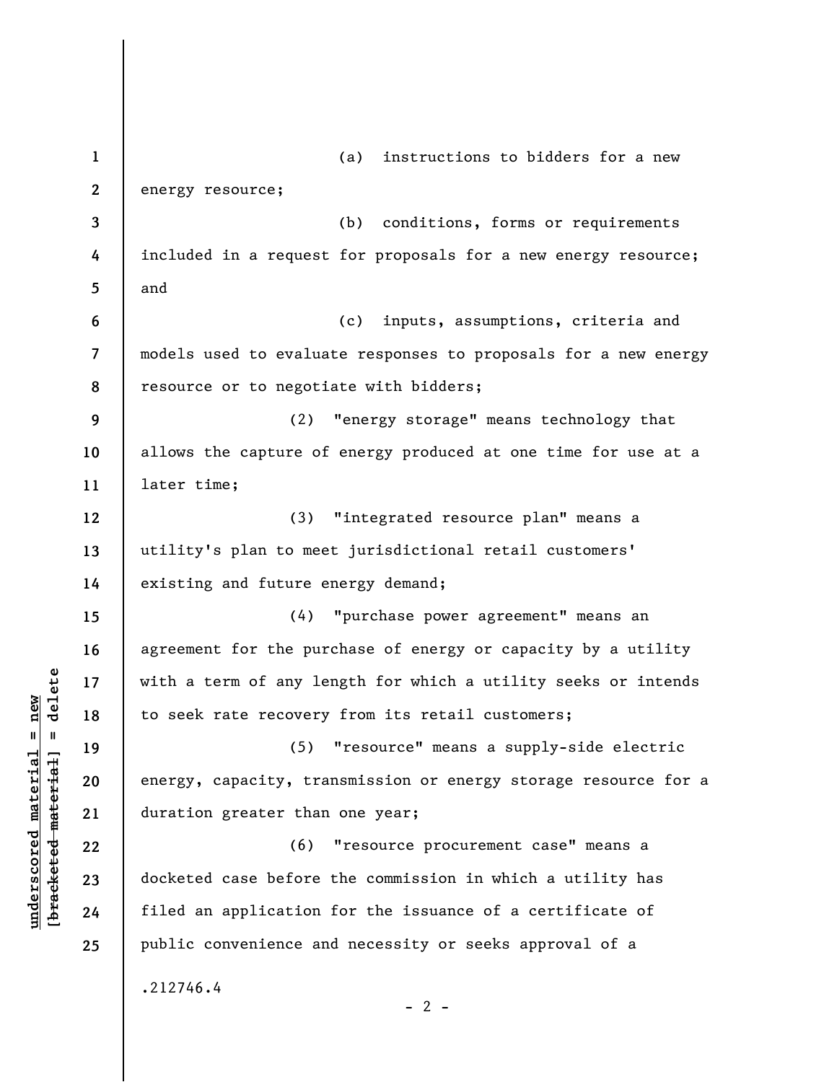**1 2 3 4 5 6 7 8 9 10 11 12 13 14 15 16 17 18 19 20 21 22 23 24 25**  (a) instructions to bidders for a new energy resource; (b) conditions, forms or requirements included in a request for proposals for a new energy resource; and (c) inputs, assumptions, criteria and models used to evaluate responses to proposals for a new energy resource or to negotiate with bidders; (2) "energy storage" means technology that allows the capture of energy produced at one time for use at a later time; (3) "integrated resource plan" means a utility's plan to meet jurisdictional retail customers' existing and future energy demand; (4) "purchase power agreement" means an agreement for the purchase of energy or capacity by a utility with a term of any length for which a utility seeks or intends to seek rate recovery from its retail customers; (5) "resource" means a supply-side electric energy, capacity, transmission or energy storage resource for a duration greater than one year; (6) "resource procurement case" means a docketed case before the commission in which a utility has filed an application for the issuance of a certificate of public convenience and necessity or seeks approval of a .212746.4  $- 2 -$ 

**underscored material = new [bracketed material] = delete**

 $b$ racketed material] = delete  $underscored material = new$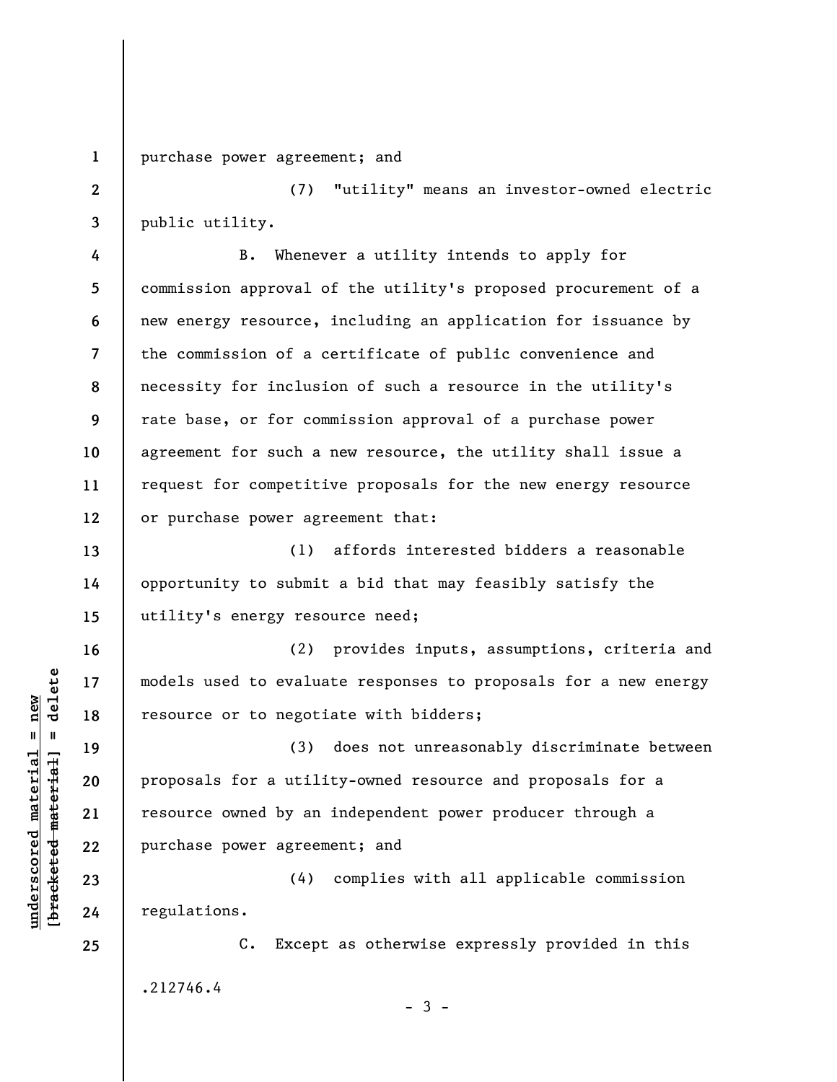**1**  purchase power agreement; and

**2 3**  (7) "utility" means an investor-owned electric public utility.

**4 5 6 7 8 9 10 11 12**  B. Whenever a utility intends to apply for commission approval of the utility's proposed procurement of a new energy resource, including an application for issuance by the commission of a certificate of public convenience and necessity for inclusion of such a resource in the utility's rate base, or for commission approval of a purchase power agreement for such a new resource, the utility shall issue a request for competitive proposals for the new energy resource or purchase power agreement that:

**13 14 15**  (1) affords interested bidders a reasonable opportunity to submit a bid that may feasibly satisfy the utility's energy resource need;

(2) provides inputs, assumptions, criteria and models used to evaluate responses to proposals for a new energy resource or to negotiate with bidders;

(3) does not unreasonably discriminate between proposals for a utility-owned resource and proposals for a resource owned by an independent power producer through a purchase power agreement; and

(4) complies with all applicable commission regulations.

C. Except as otherwise expressly provided in this .212746.4  $-3 -$ 

 $\frac{1}{2}$  intereted material = delete **[bracketed material] = delete**  $underscored material = new$ **underscored material = new**

**16** 

**17** 

**18** 

**19** 

**20** 

**21** 

**22** 

**23** 

**24**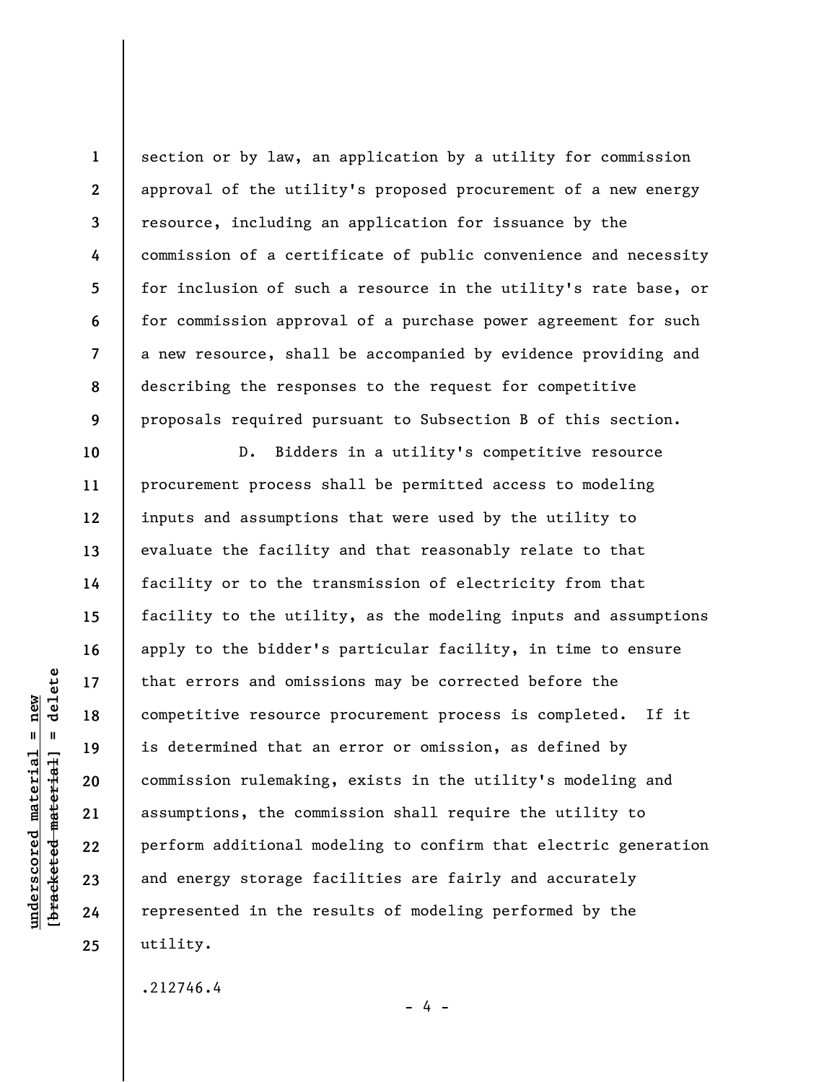**1 2 3 4 5 6 7 8 9**  section or by law, an application by a utility for commission approval of the utility's proposed procurement of a new energy resource, including an application for issuance by the commission of a certificate of public convenience and necessity for inclusion of such a resource in the utility's rate base, or for commission approval of a purchase power agreement for such a new resource, shall be accompanied by evidence providing and describing the responses to the request for competitive proposals required pursuant to Subsection B of this section.

D. Bidders in a utility's competitive resource procurement process shall be permitted access to modeling inputs and assumptions that were used by the utility to evaluate the facility and that reasonably relate to that facility or to the transmission of electricity from that facility to the utility, as the modeling inputs and assumptions apply to the bidder's particular facility, in time to ensure that errors and omissions may be corrected before the competitive resource procurement process is completed. If it is determined that an error or omission, as defined by commission rulemaking, exists in the utility's modeling and assumptions, the commission shall require the utility to perform additional modeling to confirm that electric generation and energy storage facilities are fairly and accurately represented in the results of modeling performed by the utility.

- 4 -

.212746.4

delete **[bracketed material] = delete**  $underscored material = new$ **underscored material = new**  $\mathbf{I}$ bracketed material

**10** 

**11** 

**12** 

**13** 

**14** 

**15** 

**16** 

**17** 

**18** 

**19** 

**20** 

**21** 

**22** 

**23** 

**24**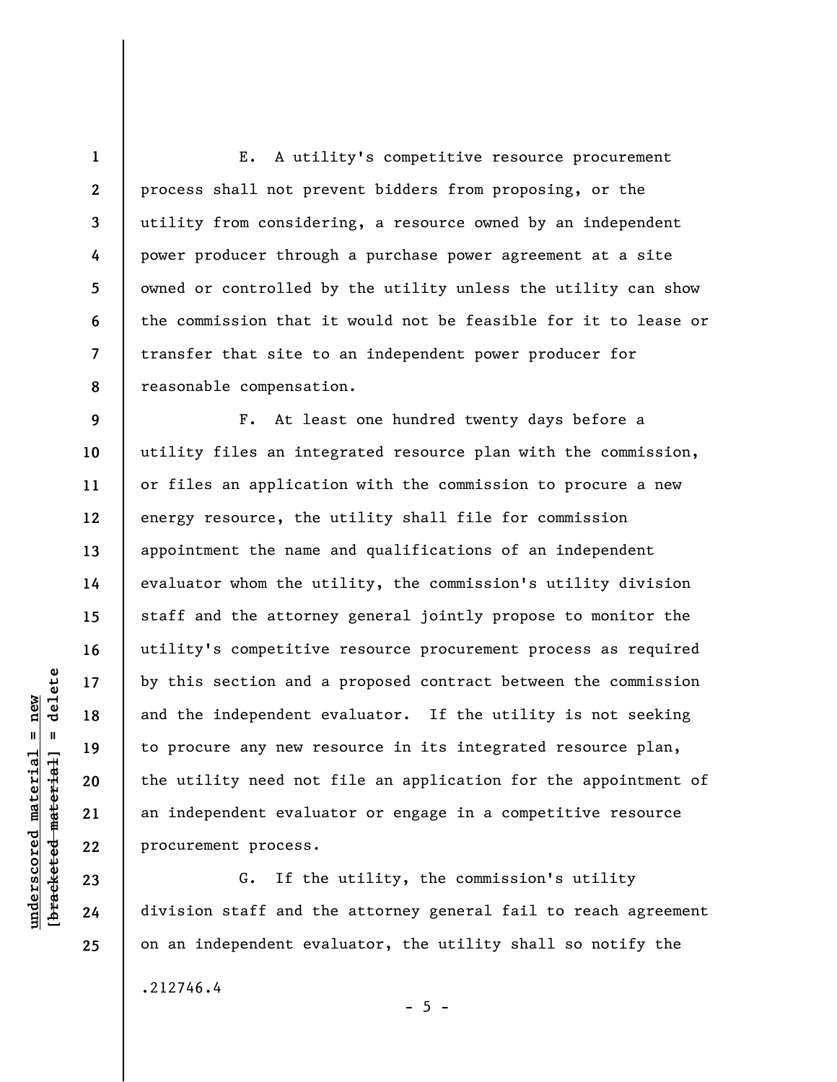**1 2 3 4 5 6 7 8**  E. A utility's competitive resource procurement process shall not prevent bidders from proposing, or the utility from considering, a resource owned by an independent power producer through a purchase power agreement at a site owned or controlled by the utility unless the utility can show the commission that it would not be feasible for it to lease or transfer that site to an independent power producer for reasonable compensation.

F. At least one hundred twenty days before a utility files an integrated resource plan with the commission, or files an application with the commission to procure a new energy resource, the utility shall file for commission appointment the name and qualifications of an independent evaluator whom the utility, the commission's utility division staff and the attorney general jointly propose to monitor the utility's competitive resource procurement process as required by this section and a proposed contract between the commission and the independent evaluator. If the utility is not seeking to procure any new resource in its integrated resource plan, the utility need not file an application for the appointment of an independent evaluator or engage in a competitive resource procurement process.

G. If the utility, the commission's utility division staff and the attorney general fail to reach agreement on an independent evaluator, the utility shall so notify the .212746.4

 $b$ racketed material] = delete **[bracketed material] = delete**  $underscored material = new$ **underscored material = new**

**23 24 25** 

**9** 

**10** 

**11** 

**12** 

**13** 

**14** 

**15** 

**16** 

**17** 

**18** 

**19** 

**20** 

**21**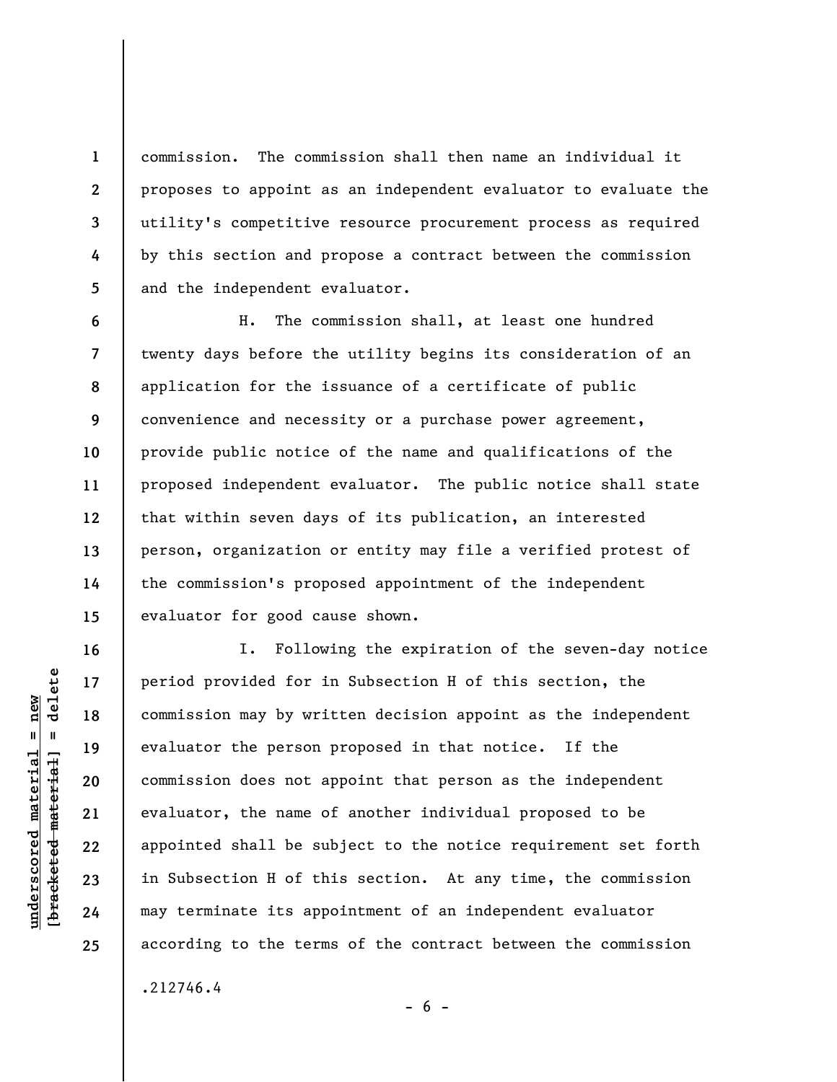commission. The commission shall then name an individual it proposes to appoint as an independent evaluator to evaluate the utility's competitive resource procurement process as required by this section and propose a contract between the commission and the independent evaluator.

**6 7 8 9 10 11 12 13 14 15**  H. The commission shall, at least one hundred twenty days before the utility begins its consideration of an application for the issuance of a certificate of public convenience and necessity or a purchase power agreement, provide public notice of the name and qualifications of the proposed independent evaluator. The public notice shall state that within seven days of its publication, an interested person, organization or entity may file a verified protest of the commission's proposed appointment of the independent evaluator for good cause shown.

I. Following the expiration of the seven-day notice period provided for in Subsection H of this section, the commission may by written decision appoint as the independent evaluator the person proposed in that notice. If the commission does not appoint that person as the independent evaluator, the name of another individual proposed to be appointed shall be subject to the notice requirement set forth in Subsection H of this section. At any time, the commission may terminate its appointment of an independent evaluator according to the terms of the contract between the commission

 $- 6 -$ 

.212746.4

 $\frac{1}{2}$  intereted material = delete **[bracketed material] = delete**  $underscored material = new$ **underscored material = new**

**1** 

**2** 

**3** 

**4** 

**5** 

**16** 

**17** 

**18** 

**19** 

**20** 

**21** 

**22** 

**23** 

**24**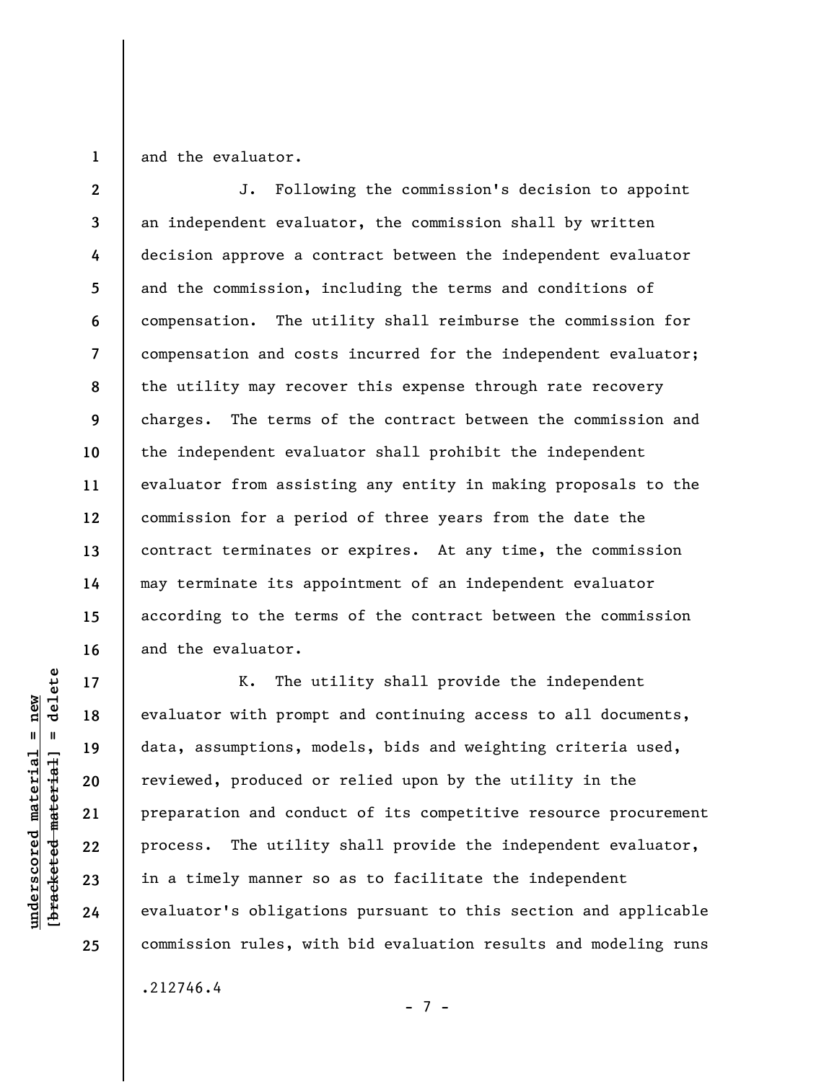**1**  and the evaluator.

**2 3 4 5 6 7 8 9 10 11 12 13 14 15 16**  J. Following the commission's decision to appoint an independent evaluator, the commission shall by written decision approve a contract between the independent evaluator and the commission, including the terms and conditions of compensation. The utility shall reimburse the commission for compensation and costs incurred for the independent evaluator; the utility may recover this expense through rate recovery charges. The terms of the contract between the commission and the independent evaluator shall prohibit the independent evaluator from assisting any entity in making proposals to the commission for a period of three years from the date the contract terminates or expires. At any time, the commission may terminate its appointment of an independent evaluator according to the terms of the contract between the commission and the evaluator.

K. The utility shall provide the independent evaluator with prompt and continuing access to all documents, data, assumptions, models, bids and weighting criteria used, reviewed, produced or relied upon by the utility in the preparation and conduct of its competitive resource procurement process. The utility shall provide the independent evaluator, in a timely manner so as to facilitate the independent evaluator's obligations pursuant to this section and applicable commission rules, with bid evaluation results and modeling runs

- 7 -

.212746.4

 $\frac{1}{2}$  intereted material = delete **[bracketed material] = delete**  $underscored material = new$ **underscored material = new**

**17** 

**18** 

**19** 

**20** 

**21** 

**22** 

**23** 

**24**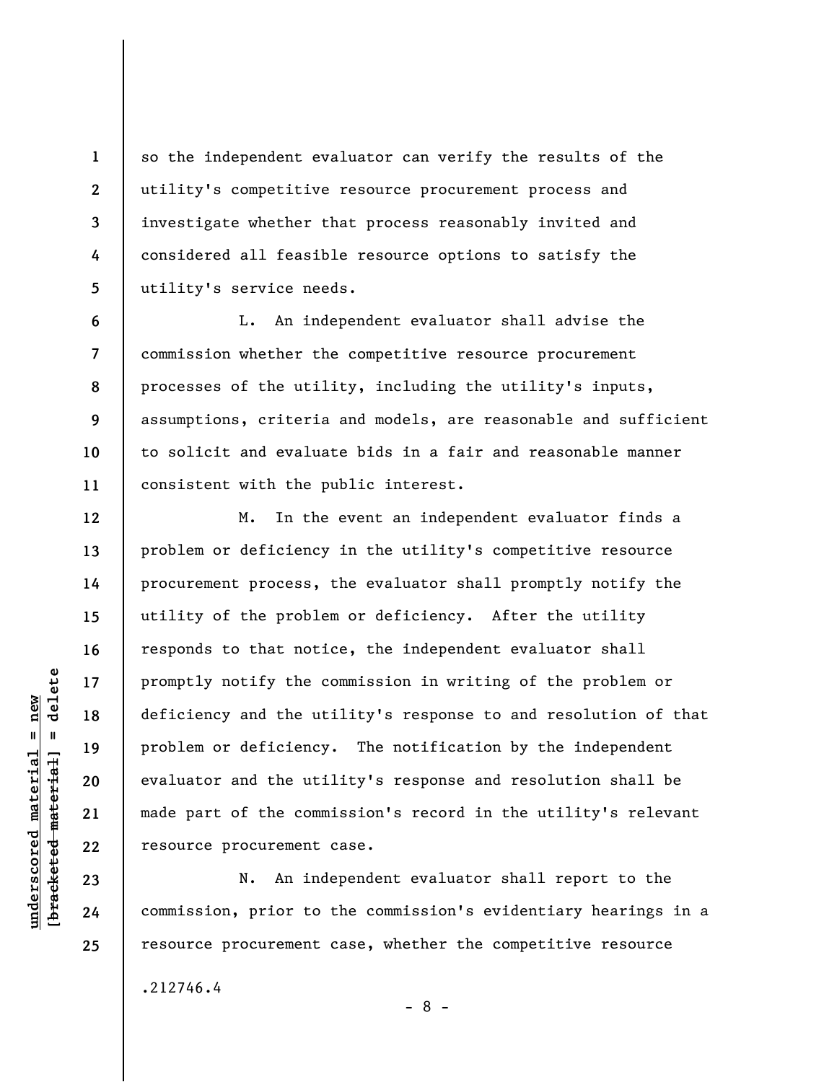so the independent evaluator can verify the results of the utility's competitive resource procurement process and investigate whether that process reasonably invited and considered all feasible resource options to satisfy the utility's service needs.

**6 7 8 9 10 11**  L. An independent evaluator shall advise the commission whether the competitive resource procurement processes of the utility, including the utility's inputs, assumptions, criteria and models, are reasonable and sufficient to solicit and evaluate bids in a fair and reasonable manner consistent with the public interest.

M. In the event an independent evaluator finds a problem or deficiency in the utility's competitive resource procurement process, the evaluator shall promptly notify the utility of the problem or deficiency. After the utility responds to that notice, the independent evaluator shall promptly notify the commission in writing of the problem or deficiency and the utility's response to and resolution of that problem or deficiency. The notification by the independent evaluator and the utility's response and resolution shall be made part of the commission's record in the utility's relevant resource procurement case.

N. An independent evaluator shall report to the commission, prior to the commission's evidentiary hearings in a resource procurement case, whether the competitive resource

- 8 -

.212746.4

 $b$ racketed material] = delete **[bracketed material] = delete**  $underscored material = new$ **underscored material = new**

**1** 

**2** 

**3** 

**4** 

**5** 

**12** 

**13** 

**14** 

**15** 

**16** 

**17** 

**18** 

**19** 

**20** 

**21** 

**22** 

**23** 

**24**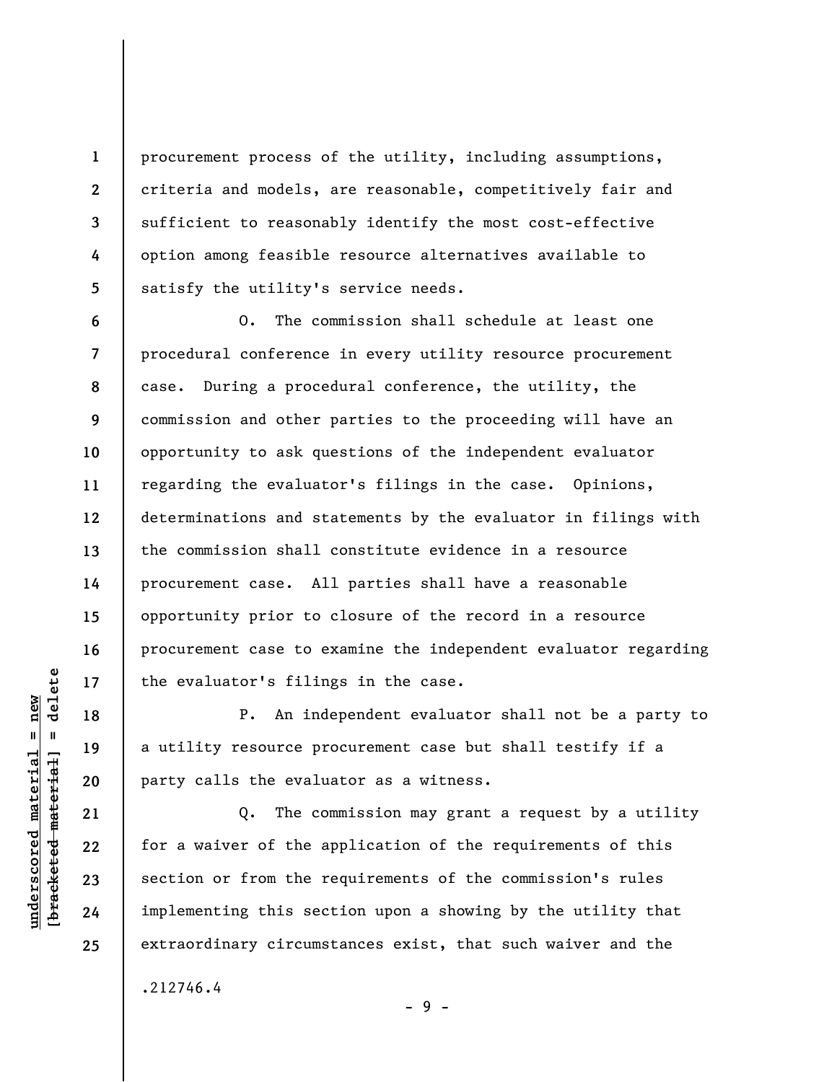procurement process of the utility, including assumptions, criteria and models, are reasonable, competitively fair and sufficient to reasonably identify the most cost-effective option among feasible resource alternatives available to satisfy the utility's service needs.

**6 7 8 9 10 11 12 13 14 15 16 17**  O. The commission shall schedule at least one procedural conference in every utility resource procurement case. During a procedural conference, the utility, the commission and other parties to the proceeding will have an opportunity to ask questions of the independent evaluator regarding the evaluator's filings in the case. Opinions, determinations and statements by the evaluator in filings with the commission shall constitute evidence in a resource procurement case. All parties shall have a reasonable opportunity prior to closure of the record in a resource procurement case to examine the independent evaluator regarding the evaluator's filings in the case.

P. An independent evaluator shall not be a party to a utility resource procurement case but shall testify if a party calls the evaluator as a witness.

Q. The commission may grant a request by a utility for a waiver of the application of the requirements of this section or from the requirements of the commission's rules implementing this section upon a showing by the utility that extraordinary circumstances exist, that such waiver and the

 $=$  delete **[bracketed material] = delete**  $anderscored material = new$ **underscored material = new** bracketed material

**18** 

**19** 

**20** 

**21** 

**22** 

**23** 

**24** 

**25** 

.212746.4

**1** 

**2** 

**3** 

**4** 

**5** 

- 9 -